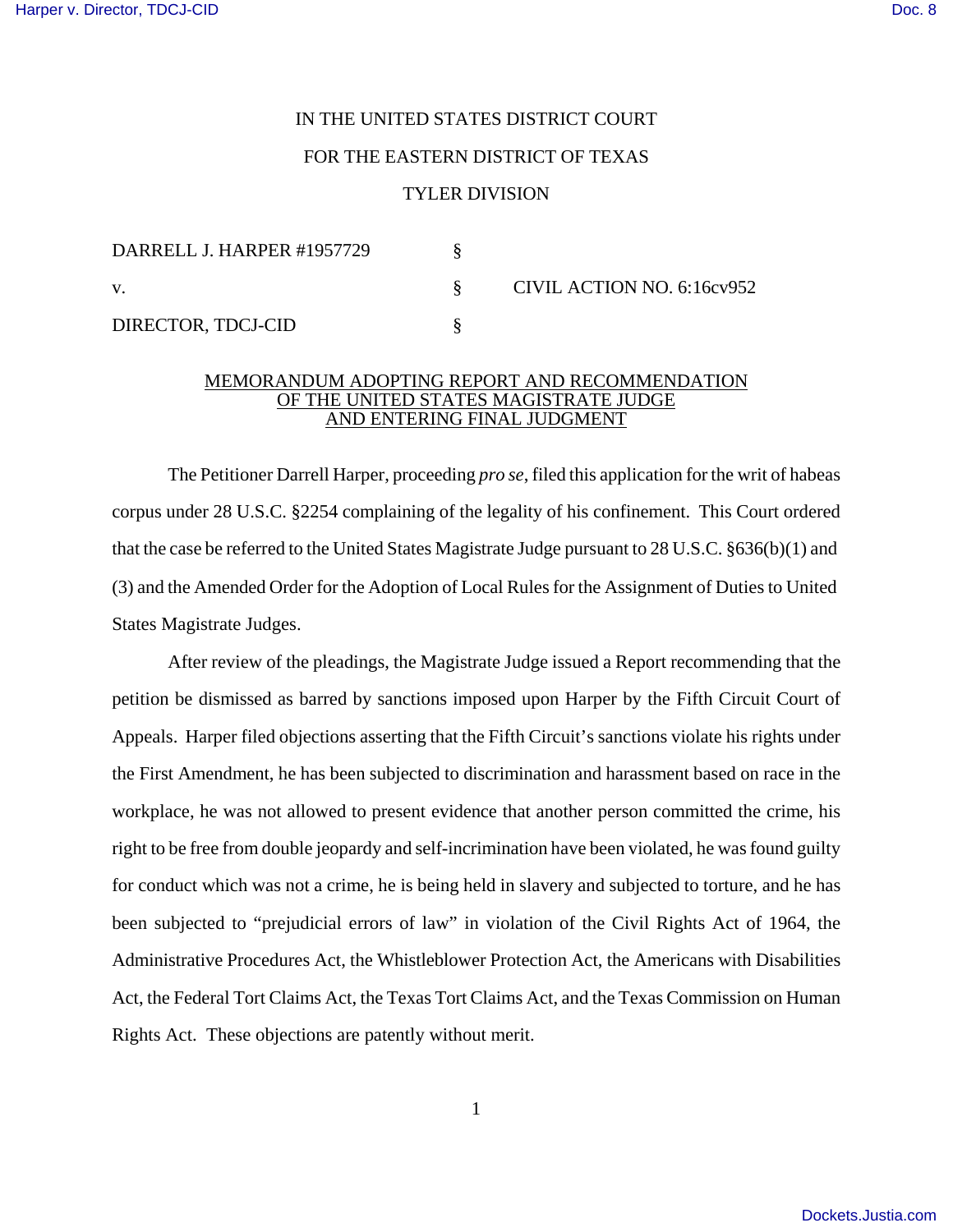## IN THE UNITED STATES DISTRICT COURT FOR THE EASTERN DISTRICT OF TEXAS TYLER DIVISION

| DARRELL J. HARPER #1957729 |  | CIVIL ACTION NO. 6:16cv952 |
|----------------------------|--|----------------------------|
| V.                         |  |                            |
| DIRECTOR, TDCJ-CID         |  |                            |

## MEMORANDUM ADOPTING REPORT AND RECOMMENDATION OF THE UNITED STATES MAGISTRATE JUDGE AND ENTERING FINAL JUDGMENT

The Petitioner Darrell Harper, proceeding *pro se*, filed this application for the writ of habeas corpus under 28 U.S.C. §2254 complaining of the legality of his confinement. This Court ordered that the case be referred to the United States Magistrate Judge pursuant to 28 U.S.C. §636(b)(1) and (3) and the Amended Order for the Adoption of Local Rules for the Assignment of Duties to United States Magistrate Judges.

After review of the pleadings, the Magistrate Judge issued a Report recommending that the petition be dismissed as barred by sanctions imposed upon Harper by the Fifth Circuit Court of Appeals. Harper filed objections asserting that the Fifth Circuit's sanctions violate his rights under the First Amendment, he has been subjected to discrimination and harassment based on race in the workplace, he was not allowed to present evidence that another person committed the crime, his right to be free from double jeopardy and self-incrimination have been violated, he was found guilty for conduct which was not a crime, he is being held in slavery and subjected to torture, and he has been subjected to "prejudicial errors of law" in violation of the Civil Rights Act of 1964, the Administrative Procedures Act, the Whistleblower Protection Act, the Americans with Disabilities Act, the Federal Tort Claims Act, the Texas Tort Claims Act, and the Texas Commission on Human Rights Act. These objections are patently without merit.